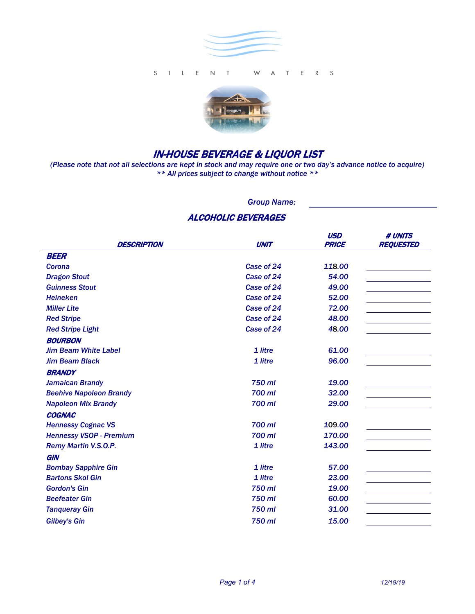



# IN-HOUSE BEVERAGE & LIQUOR LIST

*(Please note that not all selections are kept in stock and may require one or two day's advance notice to acquire) \*\* All prices subject to change without notice \*\**

*Group Name:*

## ALCOHOLIC BEVERAGES

|                                |             | <b>USD</b>   | # UNITS          |
|--------------------------------|-------------|--------------|------------------|
| <b>DESCRIPTION</b>             | <b>UNIT</b> | <b>PRICE</b> | <b>REQUESTED</b> |
| BEER                           |             |              |                  |
| Corona                         | Case of 24  | 118.00       |                  |
| <b>Dragon Stout</b>            | Case of 24  | 54.00        |                  |
| <b>Guinness Stout</b>          | Case of 24  | 49.00        |                  |
| <b>Heineken</b>                | Case of 24  | 52.00        |                  |
| <b>Miller Lite</b>             | Case of 24  | 72.00        |                  |
| <b>Red Stripe</b>              | Case of 24  | 48.00        |                  |
| <b>Red Stripe Light</b>        | Case of 24  | 48.00        |                  |
| <b>BOURBON</b>                 |             |              |                  |
| <b>Jim Beam White Label</b>    | 1 litre     | 61.00        |                  |
| <b>Jim Beam Black</b>          | 1 litre     | 96.00        |                  |
| <b>BRANDY</b>                  |             |              |                  |
| <b>Jamaican Brandy</b>         | 750 ml      | 19.00        |                  |
| <b>Beehive Napoleon Brandy</b> | 700 ml      | 32.00        |                  |
| <b>Napoleon Mix Brandy</b>     | 700 ml      | 29.00        |                  |
| <b>COGNAC</b>                  |             |              |                  |
| <b>Hennessy Cognac VS</b>      | 700 ml      | 109.00       |                  |
| <b>Hennessy VSOP - Premium</b> | 700 ml      | 170.00       |                  |
| Remy Martin V.S.O.P.           | 1 litre     | 143.00       |                  |
| <b>GIN</b>                     |             |              |                  |
| <b>Bombay Sapphire Gin</b>     | 1 litre     | 57.00        |                  |
| <b>Bartons Skol Gin</b>        | 1 litre     | 23.00        |                  |
| <b>Gordon's Gin</b>            | 750 ml      | 19.00        |                  |
| <b>Beefeater Gin</b>           | 750 ml      | 60.00        |                  |
| <b>Tangueray Gin</b>           | 750 ml      | 31.00        |                  |
| <b>Gilbey's Gin</b>            | 750 ml      | 15.00        |                  |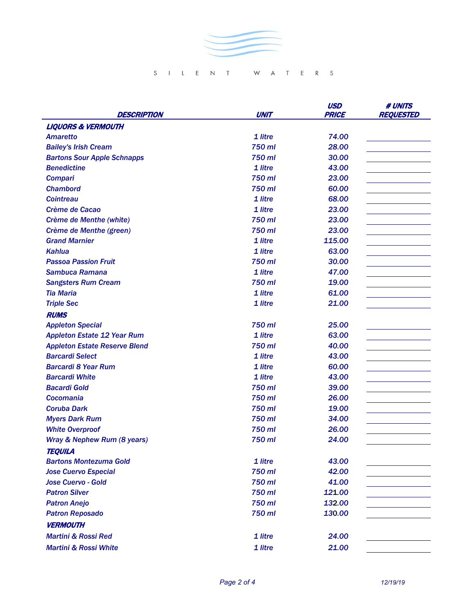

## SILENT WATERS

|                                      |             | <b>USD</b>   | # UNITS          |
|--------------------------------------|-------------|--------------|------------------|
| DESCRIPTION                          | <b>UNIT</b> | <b>PRICE</b> | <b>REQUESTED</b> |
| <b>LIQUORS &amp; VERMOUTH</b>        |             |              |                  |
| <b>Amaretto</b>                      | 1 litre     | 74.00        |                  |
| <b>Bailey's Irish Cream</b>          | 750 ml      | 28.00        |                  |
| <b>Bartons Sour Apple Schnapps</b>   | 750 ml      | 30.00        |                  |
| <b>Benedictine</b>                   | 1 litre     | 43.00        |                  |
| <b>Compari</b>                       | 750 ml      | 23.00        |                  |
| <b>Chambord</b>                      | 750 ml      | 60.00        |                  |
| <b>Cointreau</b>                     | 1 litre     | 68.00        |                  |
| Crème de Cacao                       | 1 litre     | 23.00        |                  |
| Crème de Menthe (white)              | 750 ml      | 23.00        |                  |
| Crème de Menthe (green)              | 750 ml      | 23.00        |                  |
| <b>Grand Marnier</b>                 | 1 litre     | 115.00       |                  |
| Kahlua                               | 1 litre     | 63.00        |                  |
| <b>Passoa Passion Fruit</b>          | 750 ml      | 30.00        |                  |
| Sambuca Ramana                       | 1 litre     | 47.00        |                  |
| <b>Sangsters Rum Cream</b>           | 750 ml      | 19.00        |                  |
| <b>Tia Maria</b>                     | 1 litre     | 61.00        |                  |
| <b>Triple Sec</b>                    | 1 litre     | 21.00        |                  |
| <b>RUMS</b>                          |             |              |                  |
| <b>Appleton Special</b>              | 750 ml      | 25.00        |                  |
| <b>Appleton Estate 12 Year Rum</b>   | 1 litre     | 63.00        |                  |
| <b>Appleton Estate Reserve Blend</b> | 750 ml      | 40.00        |                  |
| <b>Barcardi Select</b>               | 1 litre     | 43.00        |                  |
| <b>Barcardi 8 Year Rum</b>           | 1 litre     | 60.00        |                  |
| <b>Barcardi White</b>                | 1 litre     | 43.00        |                  |
| <b>Bacardi Gold</b>                  | 750 ml      | 39.00        |                  |
| <b>Cocomania</b>                     | 750 ml      | 26.00        |                  |
| Coruba Dark                          | 750 ml      | 19.00        |                  |
| <b>Myers Dark Rum</b>                | 750 ml      | 34.00        |                  |
| <b>White Overproof</b>               | 750 ml      | 26.00        |                  |
| Wray & Nephew Rum (8 years)          | 750 ml      | 24.00        |                  |
| <b>TEQUILA</b>                       |             |              |                  |
| <b>Bartons Montezuma Gold</b>        | 1 litre     | 43.00        |                  |
| <b>Jose Cuervo Especial</b>          | 750 ml      | 42.00        |                  |
| <b>Jose Cuervo - Gold</b>            | 750 ml      | 41.00        |                  |
| <b>Patron Silver</b>                 | 750 ml      | 121.00       |                  |
| <b>Patron Anejo</b>                  | 750 ml      | 132.00       |                  |
| <b>Patron Reposado</b>               | 750 ml      | 130.00       |                  |
| <b>VERMOUTH</b>                      |             |              |                  |
| <b>Martini &amp; Rossi Red</b>       | 1 litre     | 24.00        |                  |
| <b>Martini &amp; Rossi White</b>     |             | 21.00        |                  |
|                                      | 1 litre     |              |                  |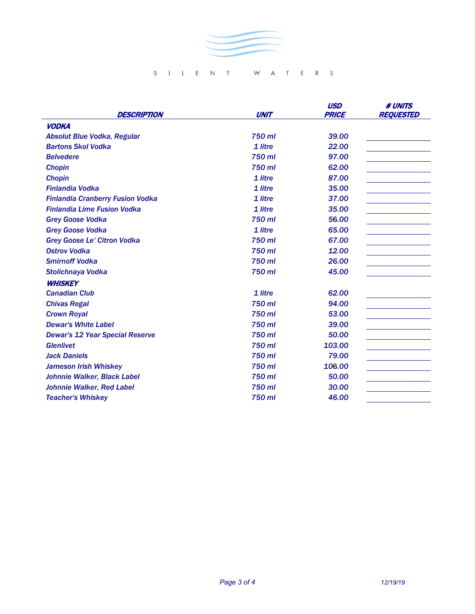

## SILENT WATERS

| <b>DESCRIPTION</b>                      | <b>UNIT</b> | <b>USD</b><br><b>PRICE</b> | <b># UNITS</b><br><b>REQUESTED</b> |
|-----------------------------------------|-------------|----------------------------|------------------------------------|
| <b>VODKA</b>                            |             |                            |                                    |
| Absolut Blue Vodka, Regular             | 750 ml      | 39.00                      |                                    |
| <b>Bartons Skol Vodka</b>               | 1 litre     | 22.00                      |                                    |
| <b>Belvedere</b>                        | 750 ml      | 97.00                      |                                    |
| <b>Chopin</b>                           | 750 ml      | 62.00                      |                                    |
| <b>Chopin</b>                           | 1 litre     | 87.00                      |                                    |
| <b>Finlandia Vodka</b>                  | 1 litre     | 35.00                      |                                    |
| <b>Finlandia Cranberry Fusion Vodka</b> | 1 litre     | 37.00                      |                                    |
| <b>Finlandia Lime Fusion Vodka</b>      | 1 litre     | 35.00                      |                                    |
| <b>Grey Goose Vodka</b>                 | 750 ml      | 56.00                      |                                    |
| <b>Grey Goose Vodka</b>                 | 1 litre     | 65.00                      |                                    |
| <b>Grey Goose Le' Citron Vodka</b>      | 750 ml      | 67.00                      |                                    |
| <b>Ostrov Vodka</b>                     | 750 ml      | 12.00                      |                                    |
| <b>Smirnoff Vodka</b>                   | 750 ml      | 26.00                      |                                    |
| Stolichnaya Vodka                       | 750 ml      | 45.00                      |                                    |
| <b>WHISKEY</b>                          |             |                            |                                    |
| <b>Canadian Club</b>                    | 1 litre     | 62.00                      |                                    |
| <b>Chivas Regal</b>                     | 750 ml      | 94.00                      |                                    |
| <b>Crown Royal</b>                      | 750 ml      | 53.00                      |                                    |
| <b>Dewar's White Label</b>              | 750 ml      | 39.00                      |                                    |
| <b>Dewar's 12 Year Special Reserve</b>  | 750 ml      | 50.00                      |                                    |
| <b>Glenlivet</b>                        | 750 ml      | 103.00                     |                                    |
| <b>Jack Daniels</b>                     | 750 ml      | 79.00                      |                                    |
| <b>Jameson Irish Whiskey</b>            | 750 ml      | 106.00                     |                                    |
| Johnnie Walker, Black Label             | 750 ml      | 50.00                      |                                    |
| Johnnie Walker, Red Label               | 750 ml      | 30.00                      |                                    |
| <b>Teacher's Whiskey</b>                | 750 ml      | 46.00                      |                                    |